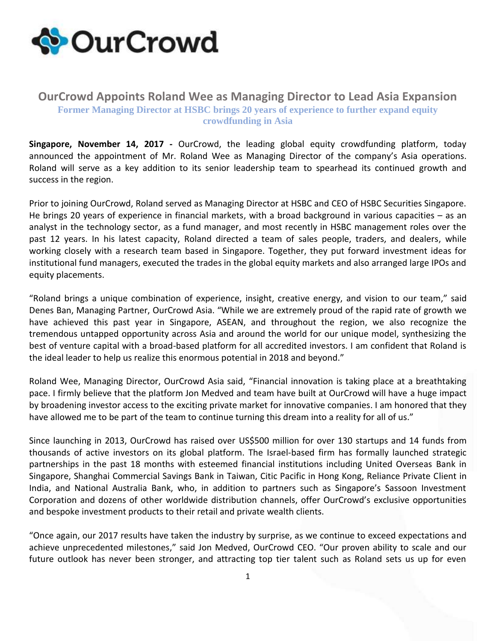

## **OurCrowd Appoints Roland Wee as Managing Director to Lead Asia Expansion Former Managing Director at HSBC brings 20 years of experience to further expand equity crowdfunding in Asia**

**Singapore, November 14, 2017 -** [OurCrowd,](http://www.ourcrowd.com/) the leading global equity crowdfunding platform, today announced the appointment of Mr. Roland Wee as Managing Director of the company's Asia operations. Roland will serve as a key addition to its senior leadership team to spearhead its continued growth and success in the region.

Prior to joining OurCrowd, Roland served as Managing Director at HSBC and CEO of HSBC Securities Singapore. He brings 20 years of experience in financial markets, with a broad background in various capacities – as an analyst in the technology sector, as a fund manager, and most recently in HSBC management roles over the past 12 years. In his latest capacity, Roland directed a team of sales people, traders, and dealers, while working closely with a research team based in Singapore. Together, they put forward investment ideas for institutional fund managers, executed the trades in the global equity markets and also arranged large IPOs and equity placements.

"Roland brings a unique combination of experience, insight, creative energy, and vision to our team," said Denes Ban, Managing Partner, OurCrowd Asia. "While we are extremely proud of the rapid rate of growth we have achieved this past year in Singapore, ASEAN, and throughout the region, we also recognize the tremendous untapped opportunity across Asia and around the world for our unique model, synthesizing the best of venture capital with a broad-based platform for all accredited investors. I am confident that Roland is the ideal leader to help us realize this enormous potential in 2018 and beyond."

Roland Wee, Managing Director, OurCrowd Asia said, "Financial innovation is taking place at a breathtaking pace. I firmly believe that the platform Jon Medved and team have built at OurCrowd will have a huge impact by broadening investor access to the exciting private market for innovative companies. I am honored that they have allowed me to be part of the team to continue turning this dream into a reality for all of us."

Since launching in 2013, OurCrowd has raised over US\$500 million for over 130 startups and 14 funds from thousands of active investors on its global platform. The Israel-based firm has formally launched strategic partnerships in the past 18 months with esteemed financial institutions including United Overseas Bank in Singapore, Shanghai Commercial Savings Bank in Taiwan, Citic Pacific in Hong Kong, Reliance Private Client in India, and National Australia Bank, who, in addition to partners such as Singapore's Sassoon Investment Corporation and dozens of other worldwide distribution channels, offer OurCrowd's exclusive opportunities and bespoke investment products to their retail and private wealth clients.

"Once again, our 2017 results have taken the industry by surprise, as we continue to exceed expectations and achieve unprecedented milestones," said Jon Medved, OurCrowd CEO. "Our proven ability to scale and our future outlook has never been stronger, and attracting top tier talent such as Roland sets us up for even